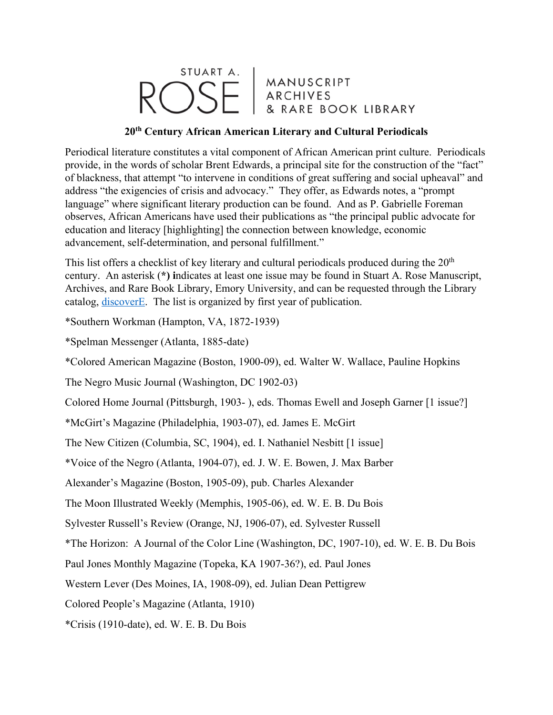## STUART A. MANUSCRIPT<br>ARCHIVES RARE BOOK LIBRARY

## **20th Century African American Literary and Cultural Periodicals**

Periodical literature constitutes a vital component of African American print culture. Periodicals provide, in the words of scholar Brent Edwards, a principal site for the construction of the "fact" of blackness, that attempt "to intervene in conditions of great suffering and social upheaval" and address "the exigencies of crisis and advocacy." They offer, as Edwards notes, a "prompt language" where significant literary production can be found. And as P. Gabrielle Foreman observes, African Americans have used their publications as "the principal public advocate for education and literacy [highlighting] the connection between knowledge, economic advancement, self-determination, and personal fulfillment."

This list offers a checklist of key literary and cultural periodicals produced during the  $20<sup>th</sup>$ century. An asterisk (**\*) i**ndicates at least one issue may be found in Stuart A. Rose Manuscript, Archives, and Rare Book Library, Emory University, and can be requested through the Library catalog, discoverE. The list is organized by first year of publication.

\*Southern Workman (Hampton, VA, 1872-1939)

\*Spelman Messenger (Atlanta, 1885-date)

\*Colored American Magazine (Boston, 1900-09), ed. Walter W. Wallace, Pauline Hopkins

The Negro Music Journal (Washington, DC 1902-03)

Colored Home Journal (Pittsburgh, 1903- ), eds. Thomas Ewell and Joseph Garner [1 issue?]

\*McGirt's Magazine (Philadelphia, 1903-07), ed. James E. McGirt

The New Citizen (Columbia, SC, 1904), ed. I. Nathaniel Nesbitt [1 issue]

\*Voice of the Negro (Atlanta, 1904-07), ed. J. W. E. Bowen, J. Max Barber

Alexander's Magazine (Boston, 1905-09), pub. Charles Alexander

The Moon Illustrated Weekly (Memphis, 1905-06), ed. W. E. B. Du Bois

Sylvester Russell's Review (Orange, NJ, 1906-07), ed. Sylvester Russell

\*The Horizon: A Journal of the Color Line (Washington, DC, 1907-10), ed. W. E. B. Du Bois

Paul Jones Monthly Magazine (Topeka, KA 1907-36?), ed. Paul Jones

Western Lever (Des Moines, IA, 1908-09), ed. Julian Dean Pettigrew

Colored People's Magazine (Atlanta, 1910)

\*Crisis (1910-date), ed. W. E. B. Du Bois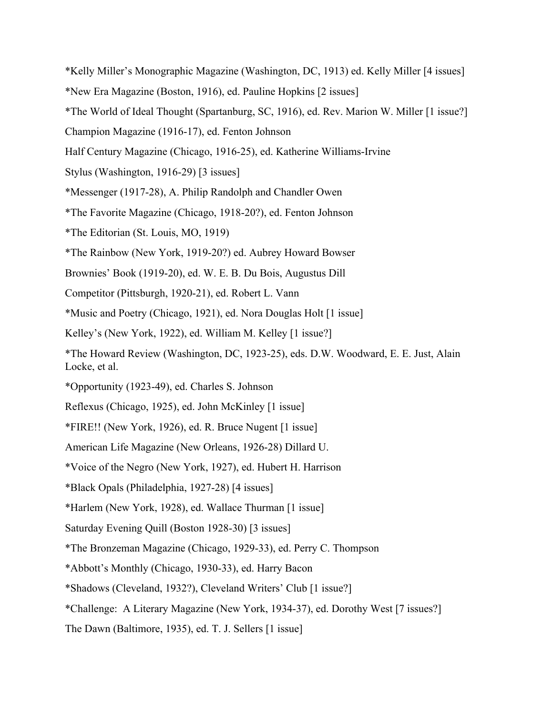- \*Kelly Miller's Monographic Magazine (Washington, DC, 1913) ed. Kelly Miller [4 issues]
- \*New Era Magazine (Boston, 1916), ed. Pauline Hopkins [2 issues]
- \*The World of Ideal Thought (Spartanburg, SC, 1916), ed. Rev. Marion W. Miller [1 issue?]
- Champion Magazine (1916-17), ed. Fenton Johnson
- Half Century Magazine (Chicago, 1916-25), ed. Katherine Williams-Irvine
- Stylus (Washington, 1916-29) [3 issues]
- \*Messenger (1917-28), A. Philip Randolph and Chandler Owen
- \*The Favorite Magazine (Chicago, 1918-20?), ed. Fenton Johnson
- \*The Editorian (St. Louis, MO, 1919)
- \*The Rainbow (New York, 1919-20?) ed. Aubrey Howard Bowser
- Brownies' Book (1919-20), ed. W. E. B. Du Bois, Augustus Dill
- Competitor (Pittsburgh, 1920-21), ed. Robert L. Vann
- \*Music and Poetry (Chicago, 1921), ed. Nora Douglas Holt [1 issue]
- Kelley's (New York, 1922), ed. William M. Kelley [1 issue?]
- \*The Howard Review (Washington, DC, 1923-25), eds. D.W. Woodward, E. E. Just, Alain Locke, et al.
- \*Opportunity (1923-49), ed. Charles S. Johnson
- Reflexus (Chicago, 1925), ed. John McKinley [1 issue]
- \*FIRE!! (New York, 1926), ed. R. Bruce Nugent [1 issue]
- American Life Magazine (New Orleans, 1926-28) Dillard U.
- \*Voice of the Negro (New York, 1927), ed. Hubert H. Harrison
- \*Black Opals (Philadelphia, 1927-28) [4 issues]
- \*Harlem (New York, 1928), ed. Wallace Thurman [1 issue]
- Saturday Evening Quill (Boston 1928-30) [3 issues]
- \*The Bronzeman Magazine (Chicago, 1929-33), ed. Perry C. Thompson
- \*Abbott's Monthly (Chicago, 1930-33), ed. Harry Bacon
- \*Shadows (Cleveland, 1932?), Cleveland Writers' Club [1 issue?]
- \*Challenge: A Literary Magazine (New York, 1934-37), ed. Dorothy West [7 issues?]
- The Dawn (Baltimore, 1935), ed. T. J. Sellers [1 issue]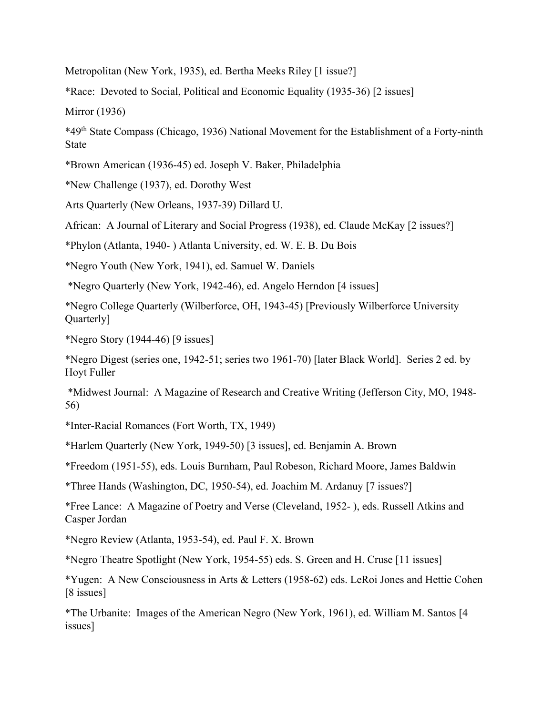Metropolitan (New York, 1935), ed. Bertha Meeks Riley [1 issue?]

\*Race: Devoted to Social, Political and Economic Equality (1935-36) [2 issues]

Mirror (1936)

\*49th State Compass (Chicago, 1936) National Movement for the Establishment of a Forty-ninth State

\*Brown American (1936-45) ed. Joseph V. Baker, Philadelphia

\*New Challenge (1937), ed. Dorothy West

Arts Quarterly (New Orleans, 1937-39) Dillard U.

African: A Journal of Literary and Social Progress (1938), ed. Claude McKay [2 issues?]

\*Phylon (Atlanta, 1940- ) Atlanta University, ed. W. E. B. Du Bois

\*Negro Youth (New York, 1941), ed. Samuel W. Daniels

\*Negro Quarterly (New York, 1942-46), ed. Angelo Herndon [4 issues]

\*Negro College Quarterly (Wilberforce, OH, 1943-45) [Previously Wilberforce University Quarterly]

\*Negro Story (1944-46) [9 issues]

\*Negro Digest (series one, 1942-51; series two 1961-70) [later Black World]. Series 2 ed. by Hoyt Fuller

\*Midwest Journal: A Magazine of Research and Creative Writing (Jefferson City, MO, 1948- 56)

\*Inter-Racial Romances (Fort Worth, TX, 1949)

\*Harlem Quarterly (New York, 1949-50) [3 issues], ed. Benjamin A. Brown

\*Freedom (1951-55), eds. Louis Burnham, Paul Robeson, Richard Moore, James Baldwin

\*Three Hands (Washington, DC, 1950-54), ed. Joachim M. Ardanuy [7 issues?]

\*Free Lance: A Magazine of Poetry and Verse (Cleveland, 1952- ), eds. Russell Atkins and Casper Jordan

\*Negro Review (Atlanta, 1953-54), ed. Paul F. X. Brown

\*Negro Theatre Spotlight (New York, 1954-55) eds. S. Green and H. Cruse [11 issues]

\*Yugen: A New Consciousness in Arts & Letters (1958-62) eds. LeRoi Jones and Hettie Cohen [8 issues]

\*The Urbanite: Images of the American Negro (New York, 1961), ed. William M. Santos [4 issues]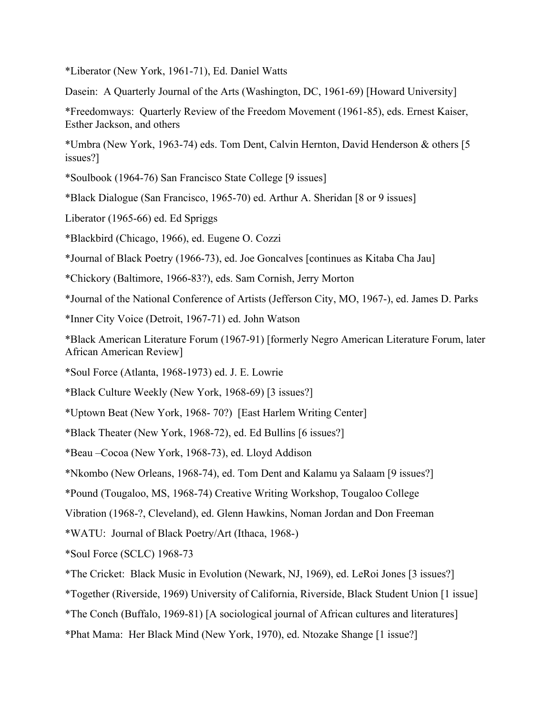\*Liberator (New York, 1961-71), Ed. Daniel Watts

Dasein: A Quarterly Journal of the Arts (Washington, DC, 1961-69) [Howard University]

\*Freedomways: Quarterly Review of the Freedom Movement (1961-85), eds. Ernest Kaiser, Esther Jackson, and others

\*Umbra (New York, 1963-74) eds. Tom Dent, Calvin Hernton, David Henderson & others [5 issues?]

\*Soulbook (1964-76) San Francisco State College [9 issues]

\*Black Dialogue (San Francisco, 1965-70) ed. Arthur A. Sheridan [8 or 9 issues]

Liberator (1965-66) ed. Ed Spriggs

\*Blackbird (Chicago, 1966), ed. Eugene O. Cozzi

\*Journal of Black Poetry (1966-73), ed. Joe Goncalves [continues as Kitaba Cha Jau]

\*Chickory (Baltimore, 1966-83?), eds. Sam Cornish, Jerry Morton

\*Journal of the National Conference of Artists (Jefferson City, MO, 1967-), ed. James D. Parks

\*Inner City Voice (Detroit, 1967-71) ed. John Watson

\*Black American Literature Forum (1967-91) [formerly Negro American Literature Forum, later African American Review]

\*Soul Force (Atlanta, 1968-1973) ed. J. E. Lowrie

\*Black Culture Weekly (New York, 1968-69) [3 issues?]

\*Uptown Beat (New York, 1968- 70?) [East Harlem Writing Center]

\*Black Theater (New York, 1968-72), ed. Ed Bullins [6 issues?]

\*Beau –Cocoa (New York, 1968-73), ed. Lloyd Addison

\*Nkombo (New Orleans, 1968-74), ed. Tom Dent and Kalamu ya Salaam [9 issues?]

\*Pound (Tougaloo, MS, 1968-74) Creative Writing Workshop, Tougaloo College

Vibration (1968-?, Cleveland), ed. Glenn Hawkins, Noman Jordan and Don Freeman

\*WATU: Journal of Black Poetry/Art (Ithaca, 1968-)

\*Soul Force (SCLC) 1968-73

\*The Cricket: Black Music in Evolution (Newark, NJ, 1969), ed. LeRoi Jones [3 issues?]

\*Together (Riverside, 1969) University of California, Riverside, Black Student Union [1 issue]

\*The Conch (Buffalo, 1969-81) [A sociological journal of African cultures and literatures]

\*Phat Mama: Her Black Mind (New York, 1970), ed. Ntozake Shange [1 issue?]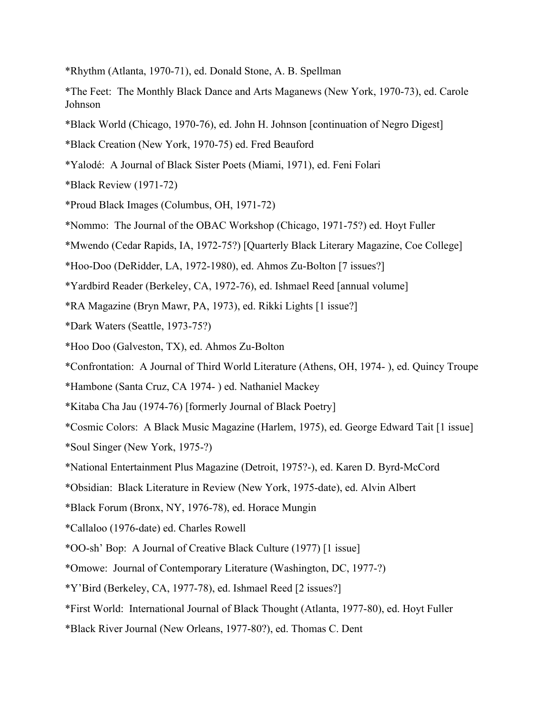- \*Rhythm (Atlanta, 1970-71), ed. Donald Stone, A. B. Spellman
- \*The Feet: The Monthly Black Dance and Arts Maganews (New York, 1970-73), ed. Carole Johnson
- \*Black World (Chicago, 1970-76), ed. John H. Johnson [continuation of Negro Digest]
- \*Black Creation (New York, 1970-75) ed. Fred Beauford
- \*Yalodé: A Journal of Black Sister Poets (Miami, 1971), ed. Feni Folari
- \*Black Review (1971-72)
- \*Proud Black Images (Columbus, OH, 1971-72)
- \*Nommo: The Journal of the OBAC Workshop (Chicago, 1971-75?) ed. Hoyt Fuller
- \*Mwendo (Cedar Rapids, IA, 1972-75?) [Quarterly Black Literary Magazine, Coe College]
- \*Hoo-Doo (DeRidder, LA, 1972-1980), ed. Ahmos Zu-Bolton [7 issues?]
- \*Yardbird Reader (Berkeley, CA, 1972-76), ed. Ishmael Reed [annual volume]
- \*RA Magazine (Bryn Mawr, PA, 1973), ed. Rikki Lights [1 issue?]
- \*Dark Waters (Seattle, 1973-75?)
- \*Hoo Doo (Galveston, TX), ed. Ahmos Zu-Bolton
- \*Confrontation: A Journal of Third World Literature (Athens, OH, 1974- ), ed. Quincy Troupe
- \*Hambone (Santa Cruz, CA 1974- ) ed. Nathaniel Mackey
- \*Kitaba Cha Jau (1974-76) [formerly Journal of Black Poetry]
- \*Cosmic Colors: A Black Music Magazine (Harlem, 1975), ed. George Edward Tait [1 issue]
- \*Soul Singer (New York, 1975-?)
- \*National Entertainment Plus Magazine (Detroit, 1975?-), ed. Karen D. Byrd-McCord
- \*Obsidian: Black Literature in Review (New York, 1975-date), ed. Alvin Albert
- \*Black Forum (Bronx, NY, 1976-78), ed. Horace Mungin
- \*Callaloo (1976-date) ed. Charles Rowell
- \*OO-sh' Bop: A Journal of Creative Black Culture (1977) [1 issue]
- \*Omowe: Journal of Contemporary Literature (Washington, DC, 1977-?)
- \*Y'Bird (Berkeley, CA, 1977-78), ed. Ishmael Reed [2 issues?]
- \*First World: International Journal of Black Thought (Atlanta, 1977-80), ed. Hoyt Fuller
- \*Black River Journal (New Orleans, 1977-80?), ed. Thomas C. Dent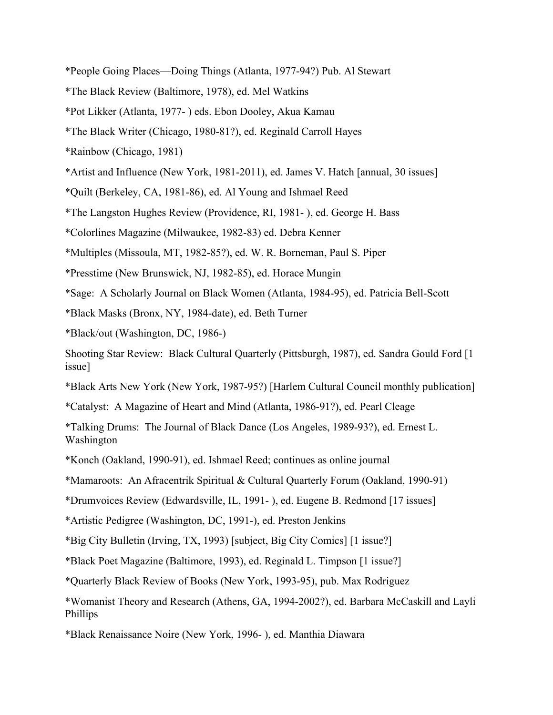- \*People Going Places—Doing Things (Atlanta, 1977-94?) Pub. Al Stewart
- \*The Black Review (Baltimore, 1978), ed. Mel Watkins
- \*Pot Likker (Atlanta, 1977- ) eds. Ebon Dooley, Akua Kamau
- \*The Black Writer (Chicago, 1980-81?), ed. Reginald Carroll Hayes
- \*Rainbow (Chicago, 1981)
- \*Artist and Influence (New York, 1981-2011), ed. James V. Hatch [annual, 30 issues]
- \*Quilt (Berkeley, CA, 1981-86), ed. Al Young and Ishmael Reed
- \*The Langston Hughes Review (Providence, RI, 1981- ), ed. George H. Bass
- \*Colorlines Magazine (Milwaukee, 1982-83) ed. Debra Kenner
- \*Multiples (Missoula, MT, 1982-85?), ed. W. R. Borneman, Paul S. Piper
- \*Presstime (New Brunswick, NJ, 1982-85), ed. Horace Mungin
- \*Sage: A Scholarly Journal on Black Women (Atlanta, 1984-95), ed. Patricia Bell-Scott
- \*Black Masks (Bronx, NY, 1984-date), ed. Beth Turner
- \*Black/out (Washington, DC, 1986-)
- Shooting Star Review: Black Cultural Quarterly (Pittsburgh, 1987), ed. Sandra Gould Ford [1 issue]
- \*Black Arts New York (New York, 1987-95?) [Harlem Cultural Council monthly publication]
- \*Catalyst: A Magazine of Heart and Mind (Atlanta, 1986-91?), ed. Pearl Cleage
- \*Talking Drums: The Journal of Black Dance (Los Angeles, 1989-93?), ed. Ernest L. Washington
- \*Konch (Oakland, 1990-91), ed. Ishmael Reed; continues as online journal
- \*Mamaroots: An Afracentrik Spiritual & Cultural Quarterly Forum (Oakland, 1990-91)
- \*Drumvoices Review (Edwardsville, IL, 1991- ), ed. Eugene B. Redmond [17 issues]
- \*Artistic Pedigree (Washington, DC, 1991-), ed. Preston Jenkins
- \*Big City Bulletin (Irving, TX, 1993) [subject, Big City Comics] [1 issue?]
- \*Black Poet Magazine (Baltimore, 1993), ed. Reginald L. Timpson [1 issue?]
- \*Quarterly Black Review of Books (New York, 1993-95), pub. Max Rodriguez
- \*Womanist Theory and Research (Athens, GA, 1994-2002?), ed. Barbara McCaskill and Layli Phillips
- \*Black Renaissance Noire (New York, 1996- ), ed. Manthia Diawara